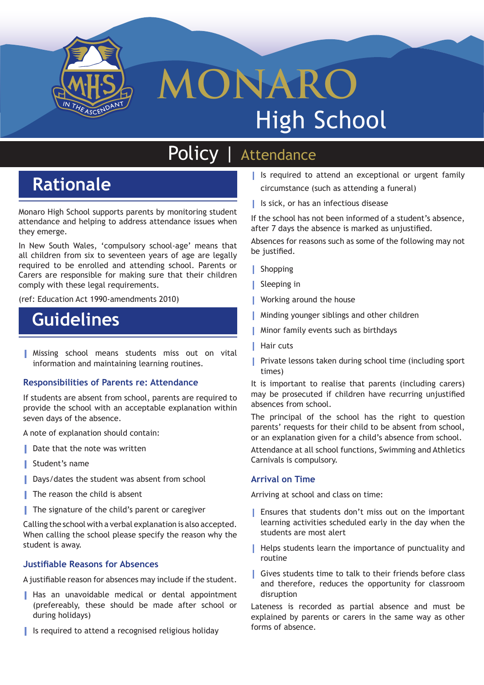

# **MONARO** High School

## Policy *|* Attendance

### **Rationale**

Monaro High School supports parents by monitoring student attendance and helping to address attendance issues when they emerge.

In New South Wales, 'compulsory school-age' means that all children from six to seventeen years of age are legally required to be enrolled and attending school. Parents or Carers are responsible for making sure that their children comply with these legal requirements.

(ref: Education Act 1990-amendments 2010)

### **Guidelines**

**|** Missing school means students miss out on vital information and maintaining learning routines.

### **Responsibilities of Parents re: Attendance**

If students are absent from school, parents are required to provide the school with an acceptable explanation within seven days of the absence.

A note of explanation should contain:

- **Date that the note was written**
- **|** Student's name
- **Days/dates the student was absent from school**
- **|** The reason the child is absent
- **|** The signature of the child's parent or caregiver

Calling the school with a verbal explanation is also accepted. When calling the school please specify the reason why the student is away.

### **Justifiable Reasons for Absences**

A justifiable reason for absences may include if the student.

- **|** Has an unavoidable medical or dental appointment (prefereably, these should be made after school or during holidays)
- **|** Is required to attend a recognised religious holiday
- **|** Is required to attend an exceptional or urgent family circumstance (such as attending a funeral)
- **|** Is sick, or has an infectious disease

If the school has not been informed of a student's absence, after 7 days the absence is marked as unjustified.

Absences for reasons such as some of the following may not be justified.

- **|** Shopping
- **|** Sleeping in
- **|** Working around the house
- **|** Minding younger siblings and other children
- **|** Minor family events such as birthdays
- **|** Hair cuts
- **|** Private lessons taken during school time (including sport times)

It is important to realise that parents (including carers) may be prosecuted if children have recurring unjustified absences from school.

The principal of the school has the right to question parents' requests for their child to be absent from school, or an explanation given for a child's absence from school.

Attendance at all school functions, Swimming and Athletics Carnivals is compulsory.

#### **Arrival on Time**

Arriving at school and class on time:

- **|** Ensures that students don't miss out on the important learning activities scheduled early in the day when the students are most alert
- **|** Helps students learn the importance of punctuality and routine
- **|** Gives students time to talk to their friends before class and therefore, reduces the opportunity for classroom disruption

Lateness is recorded as partial absence and must be explained by parents or carers in the same way as other forms of absence.